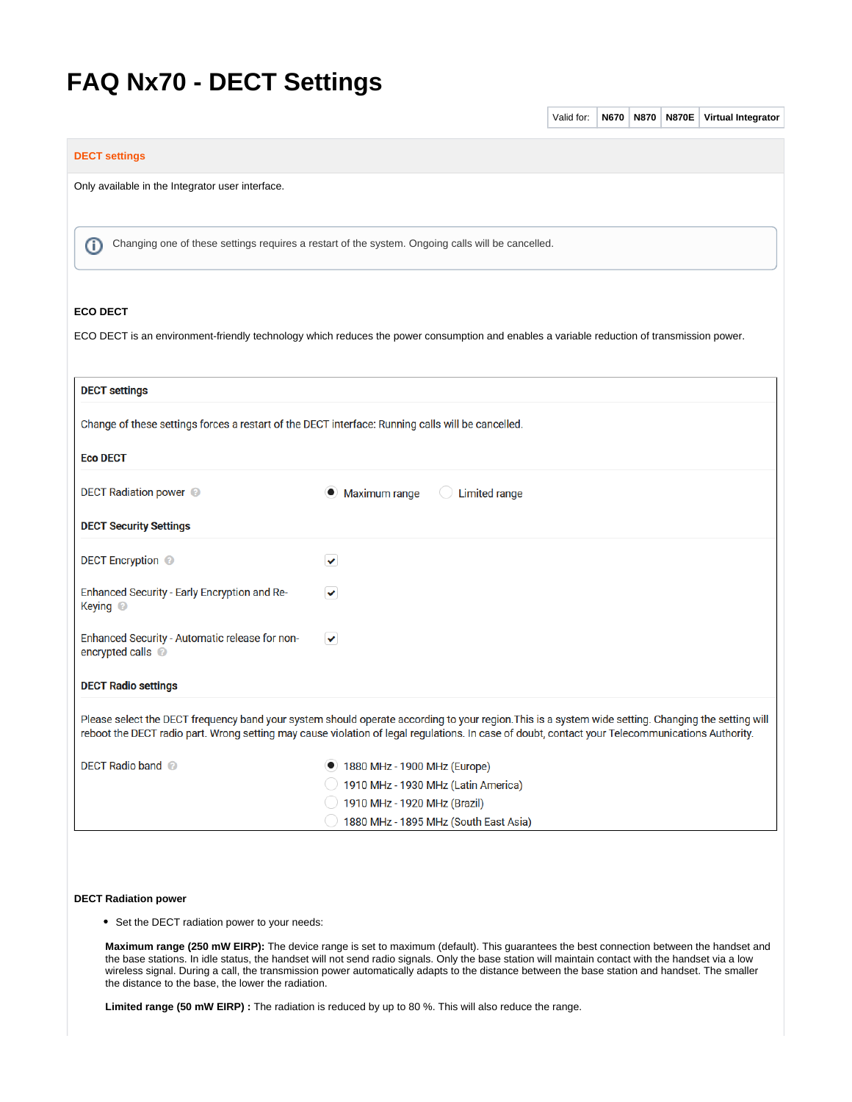# **FAQ Nx70 - DECT Settings**

|                                                                                                                                                                                                                                                                                                         |                                                       | Valid for: | <b>N670</b> | <b>N870</b> | <b>N870E</b> | Virtual Integrator |
|---------------------------------------------------------------------------------------------------------------------------------------------------------------------------------------------------------------------------------------------------------------------------------------------------------|-------------------------------------------------------|------------|-------------|-------------|--------------|--------------------|
| <b>DECT settings</b>                                                                                                                                                                                                                                                                                    |                                                       |            |             |             |              |                    |
| Only available in the Integrator user interface.                                                                                                                                                                                                                                                        |                                                       |            |             |             |              |                    |
|                                                                                                                                                                                                                                                                                                         |                                                       |            |             |             |              |                    |
| Changing one of these settings requires a restart of the system. Ongoing calls will be cancelled.<br>ന                                                                                                                                                                                                  |                                                       |            |             |             |              |                    |
| <b>ECO DECT</b>                                                                                                                                                                                                                                                                                         |                                                       |            |             |             |              |                    |
| ECO DECT is an environment-friendly technology which reduces the power consumption and enables a variable reduction of transmission power.                                                                                                                                                              |                                                       |            |             |             |              |                    |
|                                                                                                                                                                                                                                                                                                         |                                                       |            |             |             |              |                    |
| <b>DECT settings</b>                                                                                                                                                                                                                                                                                    |                                                       |            |             |             |              |                    |
| Change of these settings forces a restart of the DECT interface: Running calls will be cancelled.                                                                                                                                                                                                       |                                                       |            |             |             |              |                    |
| <b>Eco DECT</b>                                                                                                                                                                                                                                                                                         |                                                       |            |             |             |              |                    |
| <b>DECT Radiation power</b> ©                                                                                                                                                                                                                                                                           | Maximum range<br><b>Limited range</b><br>$_{\bullet}$ |            |             |             |              |                    |
| <b>DECT Security Settings</b>                                                                                                                                                                                                                                                                           |                                                       |            |             |             |              |                    |
| <b>DECT Encryption</b> ©                                                                                                                                                                                                                                                                                | $\checkmark$                                          |            |             |             |              |                    |
| Enhanced Security - Early Encryption and Re-<br>Keying <sup>@</sup>                                                                                                                                                                                                                                     | $\checkmark$                                          |            |             |             |              |                    |
| Enhanced Security - Automatic release for non-<br>encrypted calls @                                                                                                                                                                                                                                     | $\checkmark$                                          |            |             |             |              |                    |
| <b>DECT Radio settings</b>                                                                                                                                                                                                                                                                              |                                                       |            |             |             |              |                    |
| Please select the DECT frequency band your system should operate according to your region. This is a system wide setting. Changing the setting will<br>reboot the DECT radio part. Wrong setting may cause violation of legal regulations. In case of doubt, contact your Telecommunications Authority. |                                                       |            |             |             |              |                    |
| <b>DECT Radio band @</b>                                                                                                                                                                                                                                                                                | 1880 MHz - 1900 MHz (Europe)                          |            |             |             |              |                    |
|                                                                                                                                                                                                                                                                                                         | 1910 MHz - 1930 MHz (Latin America)                   |            |             |             |              |                    |
|                                                                                                                                                                                                                                                                                                         | 1910 MHz - 1920 MHz (Brazil)                          |            |             |             |              |                    |
|                                                                                                                                                                                                                                                                                                         | 1880 MHz - 1895 MHz (South East Asia)                 |            |             |             |              |                    |
|                                                                                                                                                                                                                                                                                                         |                                                       |            |             |             |              |                    |
|                                                                                                                                                                                                                                                                                                         |                                                       |            |             |             |              |                    |
| <b>DECT Radiation power</b>                                                                                                                                                                                                                                                                             |                                                       |            |             |             |              |                    |

# • Set the DECT radiation power to your needs:

**Maximum range (250 mW EIRP):** The device range is set to maximum (default). This guarantees the best connection between the handset and the base stations. In idle status, the handset will not send radio signals. Only the base station will maintain contact with the handset via a low wireless signal. During a call, the transmission power automatically adapts to the distance between the base station and handset. The smaller the distance to the base, the lower the radiation.

**Limited range (50 mW EIRP) :** The radiation is reduced by up to 80 %. This will also reduce the range.